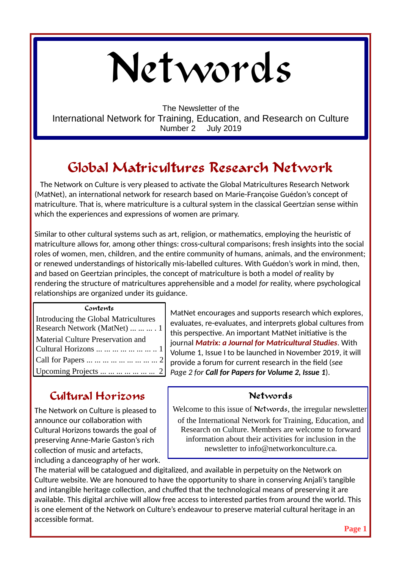# Networds

The Newsletter of the International Network for Training, Education, and Research on Culture Number 2 July 2019

# **Global Matricultures Research Network**

 The Network on Culture is very pleased to activate the Global Matricultures Research Network (MatNet), an international network for research based on Marie-Françoise Guédon's concept of matriculture. That is, where matriculture is a cultural system in the classical Geertzian sense within which the experiences and expressions of women are primary.

Similar to other cultural systems such as art, religion, or mathematics, employing the heuristic of matriculture allows for, among other things: cross-cultural comparisons; fresh insights into the social roles of women, men, children, and the entire community of humans, animals, and the environment; or renewed understandings of historically mis-labelled cultures. With Guédon's work in mind, then, and based on Geertzian principles, the concept of matriculture is both a model *of* reality by rendering the structure of matricultures apprehensible and a model *for* reality, where psychological relationships are organized under its guidance.

| Contents                             |
|--------------------------------------|
| Introducing the Global Matricultures |
| Research Network (MatNet)    . 1     |
| Material Culture Preservation and    |
| Cultural Horizons        1           |
| Call for Papers         2            |
| Upcoming Projects       2            |

# **Cultural Horizons**

The Network on Culture is pleased to announce our collaboration with Cultural Horizons towards the goal of preserving Anne-Marie Gaston's rich collection of music and artefacts, including a danceography of her work.

 MatNet encourages and supports research which explores, evaluates, re-evaluates, and interprets global cultures from this perspective. An important MatNet initiative is the journal *Matrix: a Journal for Matricultural Studies*. With Volume 1, Issue I to be launched in November 2019, it will provide a forum for current research in the field (*see Page 2 for Call for Papers for Volume 2, Issue 1*).

## **Networds**

Welcome to this issue of **Networds**, the irregular newsletter

of the International Network for Training, Education, and Research on Culture. Members are welcome to forward information about their activities for inclusion in the newsletter to info@networkonculture.ca.

The material will be catalogued and digitalized, and available in perpetuity on the Network on Culture website. We are honoured to have the opportunity to share in conserving Anjali's tangible and intangible heritage collection, and chuffed that the technological means of preserving it are available. This digital archive will allow free access to interested parties from around the world. This is one element of the Network on Culture's endeavour to preserve material cultural heritage in an accessible format.